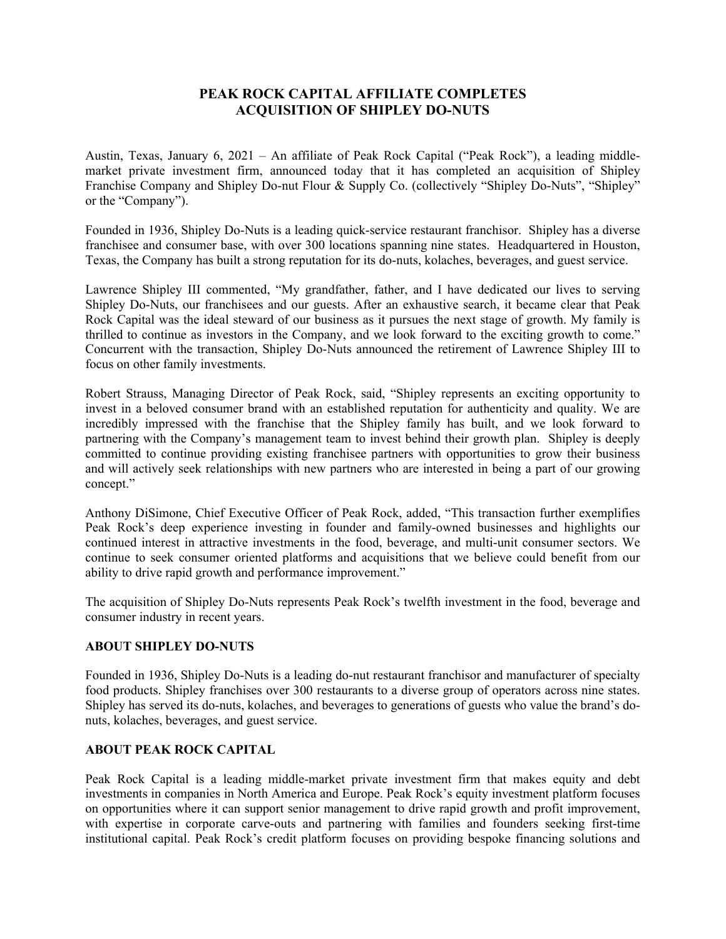## **PEAK ROCK CAPITAL AFFILIATE COMPLETES ACQUISITION OF SHIPLEY DO-NUTS**

Austin, Texas, January 6, 2021 – An affiliate of Peak Rock Capital ("Peak Rock"), a leading middlemarket private investment firm, announced today that it has completed an acquisition of Shipley Franchise Company and Shipley Do-nut Flour & Supply Co. (collectively "Shipley Do-Nuts", "Shipley" or the "Company").

Founded in 1936, Shipley Do-Nuts is a leading quick-service restaurant franchisor. Shipley has a diverse franchisee and consumer base, with over 300 locations spanning nine states. Headquartered in Houston, Texas, the Company has built a strong reputation for its do-nuts, kolaches, beverages, and guest service.

Lawrence Shipley III commented, "My grandfather, father, and I have dedicated our lives to serving Shipley Do-Nuts, our franchisees and our guests. After an exhaustive search, it became clear that Peak Rock Capital was the ideal steward of our business as it pursues the next stage of growth. My family is thrilled to continue as investors in the Company, and we look forward to the exciting growth to come." Concurrent with the transaction, Shipley Do-Nuts announced the retirement of Lawrence Shipley III to focus on other family investments.

Robert Strauss, Managing Director of Peak Rock, said, "Shipley represents an exciting opportunity to invest in a beloved consumer brand with an established reputation for authenticity and quality. We are incredibly impressed with the franchise that the Shipley family has built, and we look forward to partnering with the Company's management team to invest behind their growth plan. Shipley is deeply committed to continue providing existing franchisee partners with opportunities to grow their business and will actively seek relationships with new partners who are interested in being a part of our growing concept."

Anthony DiSimone, Chief Executive Officer of Peak Rock, added, "This transaction further exemplifies Peak Rock's deep experience investing in founder and family-owned businesses and highlights our continued interest in attractive investments in the food, beverage, and multi-unit consumer sectors. We continue to seek consumer oriented platforms and acquisitions that we believe could benefit from our ability to drive rapid growth and performance improvement."

The acquisition of Shipley Do-Nuts represents Peak Rock's twelfth investment in the food, beverage and consumer industry in recent years.

## **ABOUT SHIPLEY DO-NUTS**

Founded in 1936, Shipley Do-Nuts is a leading do-nut restaurant franchisor and manufacturer of specialty food products. Shipley franchises over 300 restaurants to a diverse group of operators across nine states. Shipley has served its do-nuts, kolaches, and beverages to generations of guests who value the brand's donuts, kolaches, beverages, and guest service.

## **ABOUT PEAK ROCK CAPITAL**

Peak Rock Capital is a leading middle-market private investment firm that makes equity and debt investments in companies in North America and Europe. Peak Rock's equity investment platform focuses on opportunities where it can support senior management to drive rapid growth and profit improvement, with expertise in corporate carve-outs and partnering with families and founders seeking first-time institutional capital. Peak Rock's credit platform focuses on providing bespoke financing solutions and